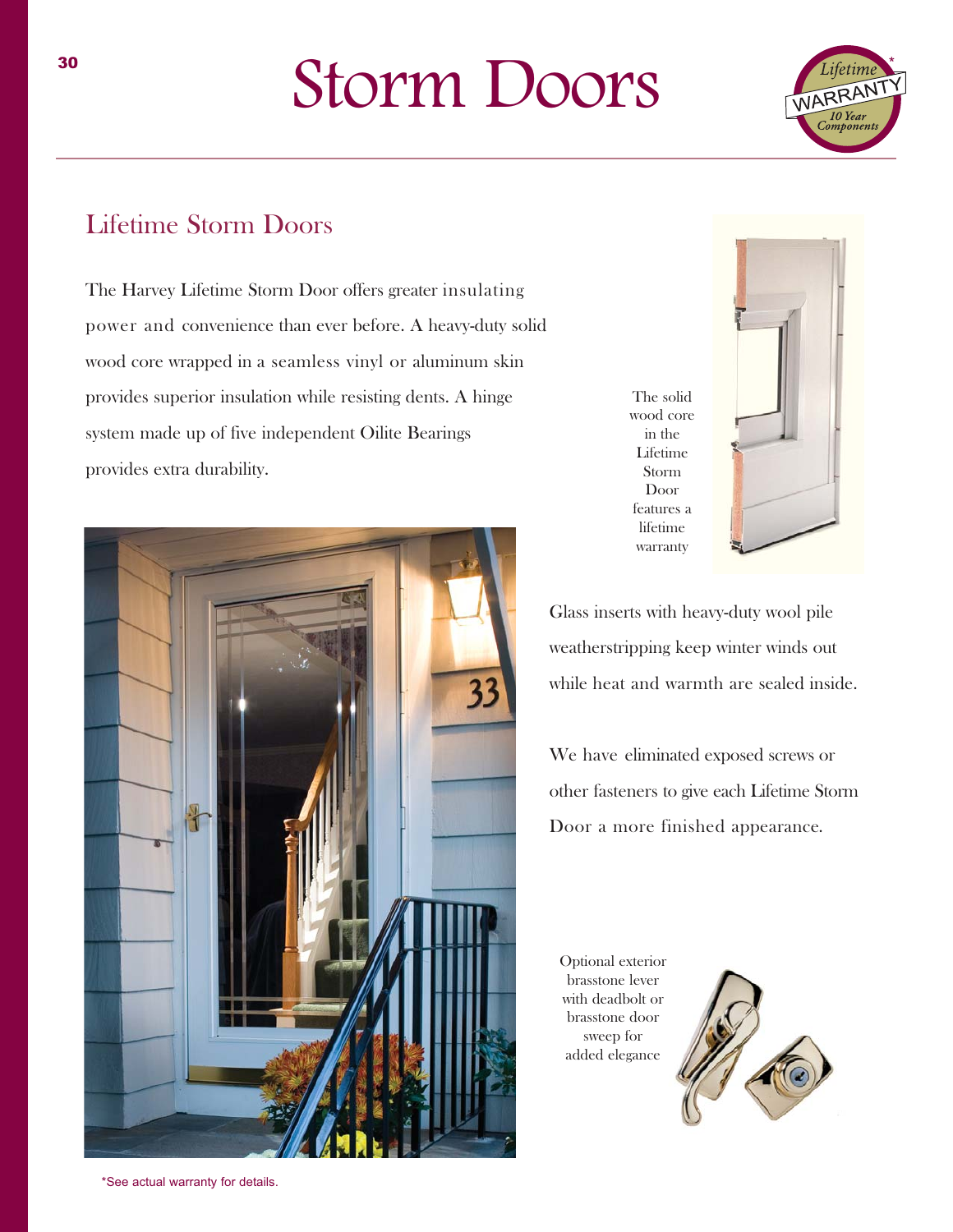## Storm Doors



#### Lifetime Storm Doors

The Harvey Lifetime Storm Door offers greater insulating power and convenience than ever before. A heavy-duty solid wood core wrapped in a seamless vinyl or aluminum skin provides superior insulation while resisting dents. A hinge system made up of five independent Oilite Bearings provides extra durability.



The solid wood core in the Lifetime Storm Door features a lifetime warranty



Glass inserts with heavy-duty wool pile weatherstripping keep winter winds out while heat and warmth are sealed inside.

We have eliminated exposed screws or other fasteners to give each Lifetime Storm Door a more finished appearance.

Optional exterior brasstone lever with deadbolt or brasstone door sweep for added elegance

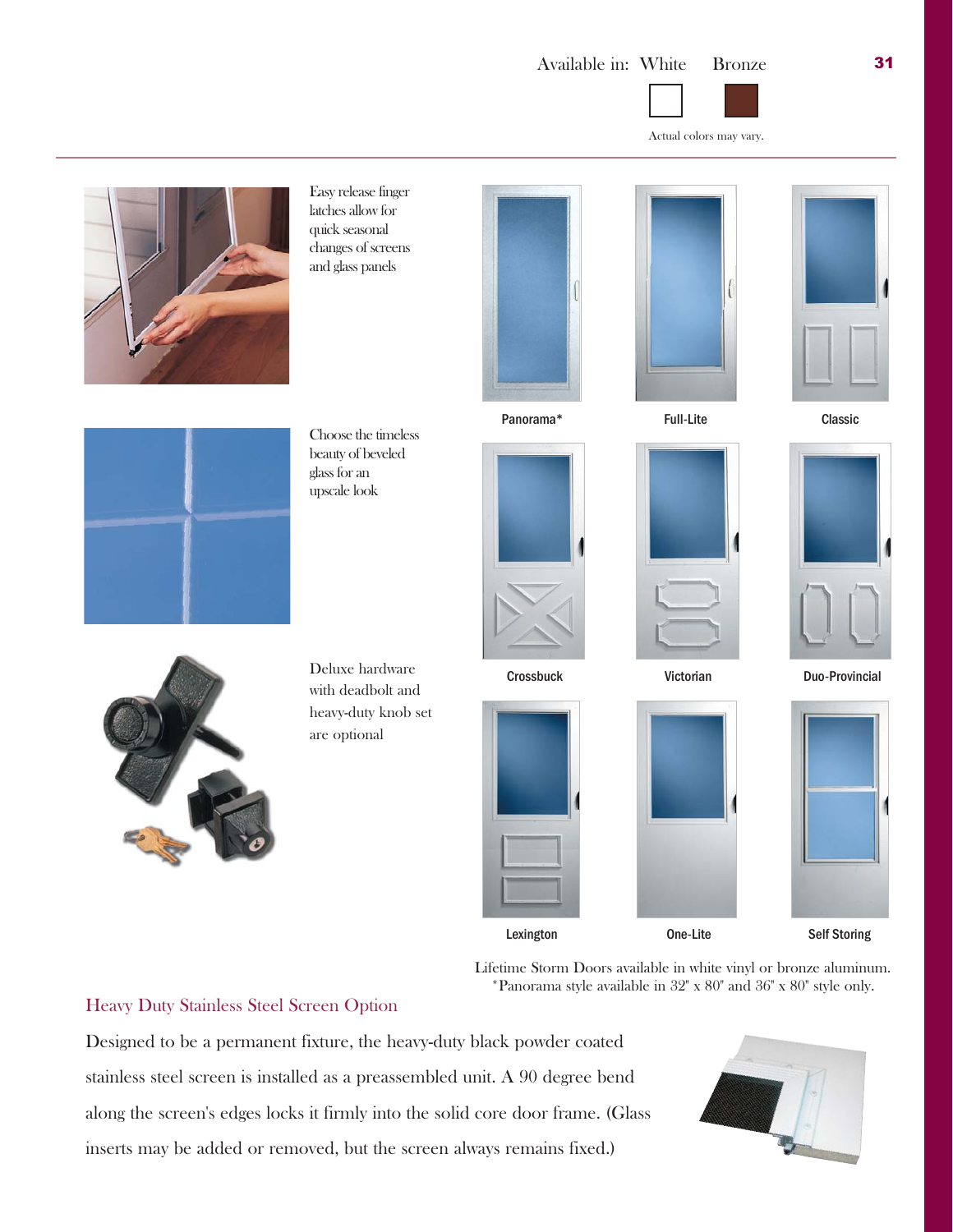

Actual colors may vary.



Easy release finger latches allow for quick seasonal changes of screens and glass panels













Choose the timeless beauty of beveled glass for an upscale look













Lexington One-Lite Self Storing

Lifetime Storm Doors available in white vinyl or bronze aluminum. \*Panorama style available in 32" x 80" and 36" x 80" style only.

Heavy Duty Stainless Steel Screen Option

Designed to be a permanent fixture, the heavy-duty black powder coated stainless steel screen is installed as a preassembled unit. A 90 degree bend along the screen's edges locks it firmly into the solid core door frame. (Glass inserts may be added or removed, but the screen always remains fixed.)



Deluxe hardware with deadbolt and

heavy-duty knob set

are optional

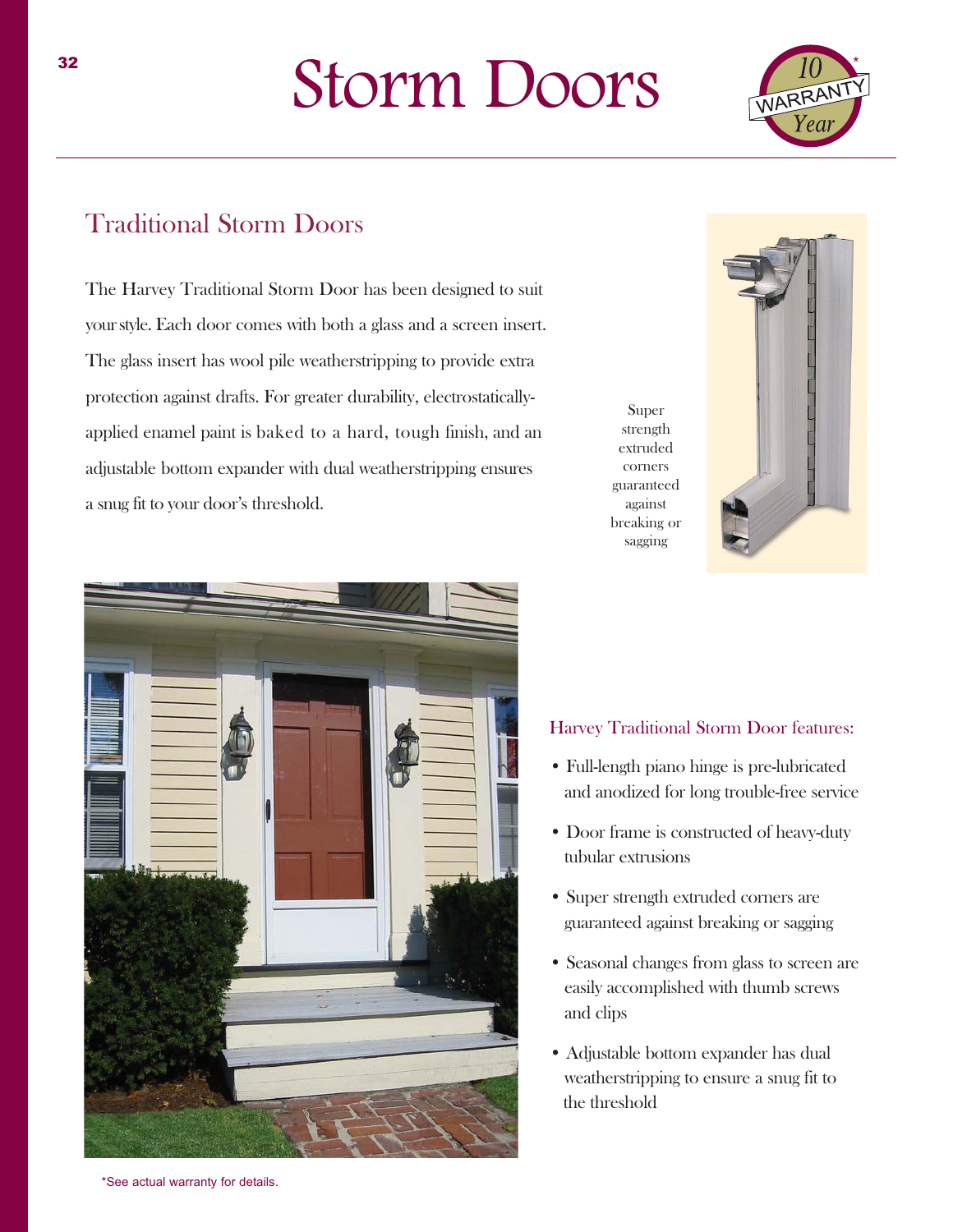# Storm Doors



### Traditional Storm Doors

The Harvey Traditional Storm Door has been designed to suit yourstyle. Each door comes with both a glass and a screen insert. The glass insert has wool pile weatherstripping to provide extra protection against drafts. For greater durability, electrostaticallyapplied enamel paint is baked to a hard, tough finish, and an adjustable bottom expander with dual weatherstripping ensures a snug fit to your door's threshold.





#### Harvey Traditional Storm Door features:

Super strength extruded corners guaranteed against breaking or sagging

- Full-length piano hinge is pre-lubricated and anodized for long trouble-free service
- Door frame is constructed of heavy-duty tubular extrusions
- Super strength extruded corners are guaranteed against breaking or sagging
- Seasonal changes from glass to screen are easily accomplished with thumb screws and clips
- Adjustable bottom expander has dual weatherstripping to ensure a snug fit to the threshold

\*See actual warranty for details.